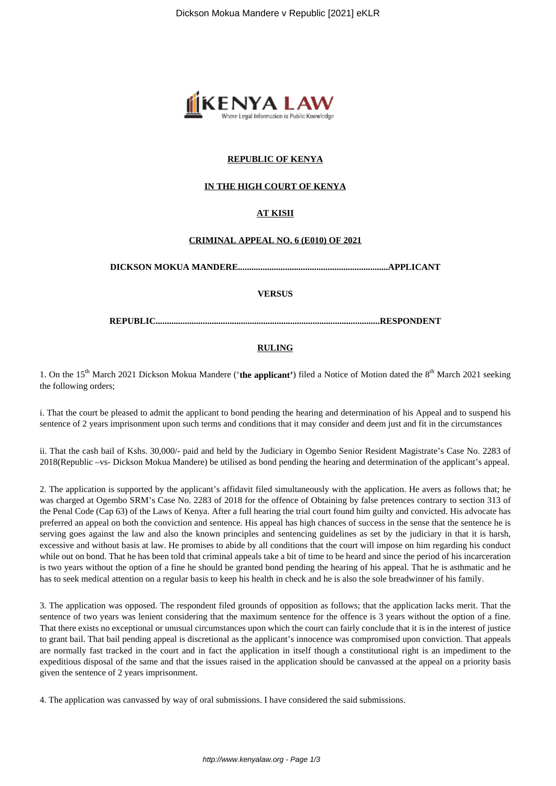

# **REPUBLIC OF KENYA**

## **IN THE HIGH COURT OF KENYA**

# **AT KISII**

#### **CRIMINAL APPEAL NO. 6 (E010) OF 2021**

**DICKSON MOKUA MANDERE...................................................................APPLICANT**

**VERSUS**

**REPUBLIC....................................................................................................RESPONDENT**

### **RULING**

1. On the 15<sup>th</sup> March 2021 Dickson Mokua Mandere ('**the applicant'**) filed a Notice of Motion dated the 8<sup>th</sup> March 2021 seeking the following orders;

i. That the court be pleased to admit the applicant to bond pending the hearing and determination of his Appeal and to suspend his sentence of 2 years imprisonment upon such terms and conditions that it may consider and deem just and fit in the circumstances

ii. That the cash bail of Kshs. 30,000/- paid and held by the Judiciary in Ogembo Senior Resident Magistrate's Case No. 2283 of 2018(Republic –vs- Dickson Mokua Mandere) be utilised as bond pending the hearing and determination of the applicant's appeal.

2. The application is supported by the applicant's affidavit filed simultaneously with the application. He avers as follows that; he was charged at Ogembo SRM's Case No. 2283 of 2018 for the offence of Obtaining by false pretences contrary to section 313 of the Penal Code (Cap 63) of the Laws of Kenya. After a full hearing the trial court found him guilty and convicted. His advocate has preferred an appeal on both the conviction and sentence. His appeal has high chances of success in the sense that the sentence he is serving goes against the law and also the known principles and sentencing guidelines as set by the judiciary in that it is harsh, excessive and without basis at law. He promises to abide by all conditions that the court will impose on him regarding his conduct while out on bond. That he has been told that criminal appeals take a bit of time to be heard and since the period of his incarceration is two years without the option of a fine he should be granted bond pending the hearing of his appeal. That he is asthmatic and he has to seek medical attention on a regular basis to keep his health in check and he is also the sole breadwinner of his family.

3. The application was opposed. The respondent filed grounds of opposition as follows; that the application lacks merit. That the sentence of two years was lenient considering that the maximum sentence for the offence is 3 years without the option of a fine. That there exists no exceptional or unusual circumstances upon which the court can fairly conclude that it is in the interest of justice to grant bail. That bail pending appeal is discretional as the applicant's innocence was compromised upon conviction. That appeals are normally fast tracked in the court and in fact the application in itself though a constitutional right is an impediment to the expeditious disposal of the same and that the issues raised in the application should be canvassed at the appeal on a priority basis given the sentence of 2 years imprisonment.

4. The application was canvassed by way of oral submissions. I have considered the said submissions.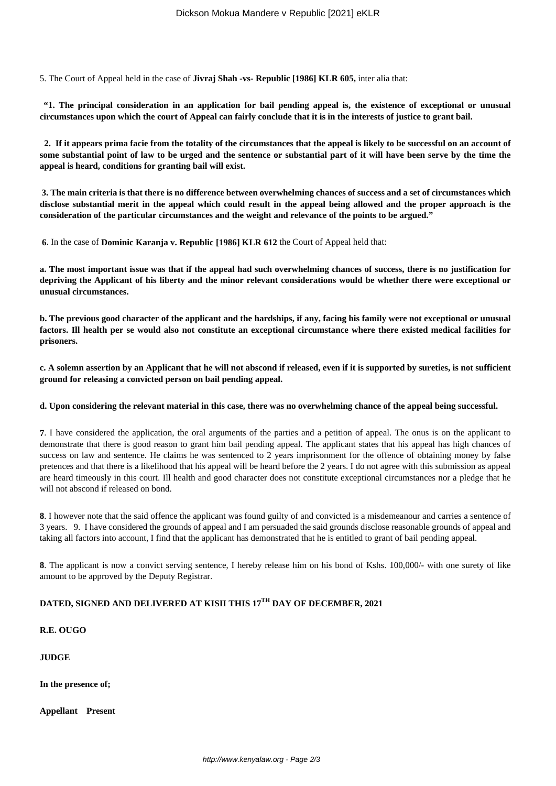5. The Court of Appeal held in the case of **Jivraj Shah -vs- Republic [1986] KLR 605,** inter alia that:

**"1. The principal consideration in an application for bail pending appeal is, the existence of exceptional or unusual circumstances upon which the court of Appeal can fairly conclude that it is in the interests of justice to grant bail.** 

 **2. If it appears prima facie from the totality of the circumstances that the appeal is likely to be successful on an account of some substantial point of law to be urged and the sentence or substantial part of it will have been serve by the time the appeal is heard, conditions for granting bail will exist.**

**3. The main criteria is that there is no difference between overwhelming chances of success and a set of circumstances which disclose substantial merit in the appeal which could result in the appeal being allowed and the proper approach is the consideration of the particular circumstances and the weight and relevance of the points to be argued."**

**6**. In the case of **Dominic Karanja v. Republic [1986] KLR 612** the Court of Appeal held that:

**a. The most important issue was that if the appeal had such overwhelming chances of success, there is no justification for depriving the Applicant of his liberty and the minor relevant considerations would be whether there were exceptional or unusual circumstances.**

**b. The previous good character of the applicant and the hardships, if any, facing his family were not exceptional or unusual factors. Ill health per se would also not constitute an exceptional circumstance where there existed medical facilities for prisoners.**

**c. A solemn assertion by an Applicant that he will not abscond if released, even if it is supported by sureties, is not sufficient ground for releasing a convicted person on bail pending appeal.**

**d. Upon considering the relevant material in this case, there was no overwhelming chance of the appeal being successful.**

**7**. I have considered the application, the oral arguments of the parties and a petition of appeal. The onus is on the applicant to demonstrate that there is good reason to grant him bail pending appeal. The applicant states that his appeal has high chances of success on law and sentence. He claims he was sentenced to 2 years imprisonment for the offence of obtaining money by false pretences and that there is a likelihood that his appeal will be heard before the 2 years. I do not agree with this submission as appeal are heard timeously in this court. Ill health and good character does not constitute exceptional circumstances nor a pledge that he will not abscond if released on bond.

**8**. I however note that the said offence the applicant was found guilty of and convicted is a misdemeanour and carries a sentence of 3 years. 9. I have considered the grounds of appeal and I am persuaded the said grounds disclose reasonable grounds of appeal and taking all factors into account, I find that the applicant has demonstrated that he is entitled to grant of bail pending appeal.

**8**. The applicant is now a convict serving sentence, I hereby release him on his bond of Kshs. 100,000/- with one surety of like amount to be approved by the Deputy Registrar.

# **DATED, SIGNED AND DELIVERED AT KISII THIS 17TH DAY OF DECEMBER, 2021**

**R.E. OUGO**

**JUDGE**

**In the presence of;**

**Appellant Present**